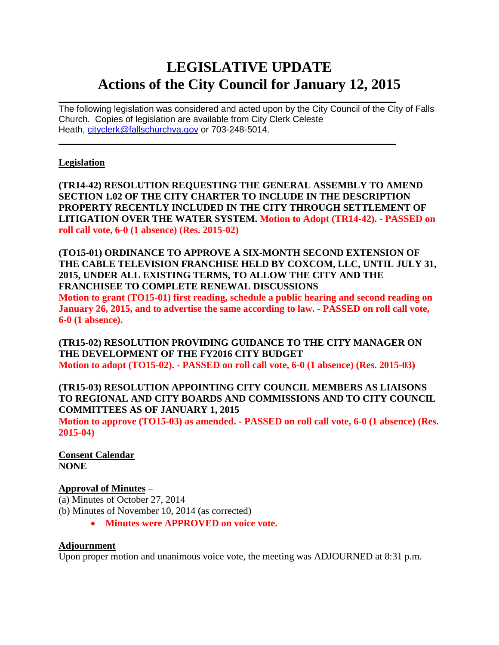# **LEGISLATIVE UPDATE Actions of the City Council for January 12, 2015**

 $\mathcal{L}_\text{max}$  and  $\mathcal{L}_\text{max}$  and  $\mathcal{L}_\text{max}$  and  $\mathcal{L}_\text{max}$  and  $\mathcal{L}_\text{max}$  and  $\mathcal{L}_\text{max}$ The following legislation was considered and acted upon by the City Council of the City of Falls Church. Copies of legislation are available from City Clerk Celeste Heath, [cityclerk@fallschurchva.gov](mailto:cityclerk@fallschurchva.gov) or 703-248-5014.

 $\mathcal{L}_\text{max}$  , and the contract of the contract of the contract of the contract of the contract of the contract of

#### **Legislation**

**(TR14-42) RESOLUTION REQUESTING THE GENERAL ASSEMBLY TO AMEND SECTION 1.02 OF THE CITY CHARTER TO INCLUDE IN THE DESCRIPTION PROPERTY RECENTLY INCLUDED IN THE CITY THROUGH SETTLEMENT OF LITIGATION OVER THE WATER SYSTEM. Motion to Adopt (TR14-42). - PASSED on roll call vote, 6-0 (1 absence) (Res. 2015-02)**

**(TO15-01) ORDINANCE TO APPROVE A SIX-MONTH SECOND EXTENSION OF THE CABLE TELEVISION FRANCHISE HELD BY COXCOM, LLC, UNTIL JULY 31, 2015, UNDER ALL EXISTING TERMS, TO ALLOW THE CITY AND THE FRANCHISEE TO COMPLETE RENEWAL DISCUSSIONS Motion to grant (TO15-01) first reading, schedule a public hearing and second reading on January 26, 2015, and to advertise the same according to law. - PASSED on roll call vote, 6-0 (1 absence).**

**(TR15-02) RESOLUTION PROVIDING GUIDANCE TO THE CITY MANAGER ON THE DEVELOPMENT OF THE FY2016 CITY BUDGET Motion to adopt (TO15-02). - PASSED on roll call vote, 6-0 (1 absence) (Res. 2015-03)**

### **(TR15-03) RESOLUTION APPOINTING CITY COUNCIL MEMBERS AS LIAISONS TO REGIONAL AND CITY BOARDS AND COMMISSIONS AND TO CITY COUNCIL COMMITTEES AS OF JANUARY 1, 2015**

**Motion to approve (TO15-03) as amended. - PASSED on roll call vote, 6-0 (1 absence) (Res. 2015-04)**

**Consent Calendar NONE**

### **Approval of Minutes** –

(a) Minutes of October 27, 2014 (b) Minutes of November 10, 2014 (as corrected)

• **Minutes were APPROVED on voice vote.**

#### **Adjournment**

Upon proper motion and unanimous voice vote, the meeting was ADJOURNED at 8:31 p.m.